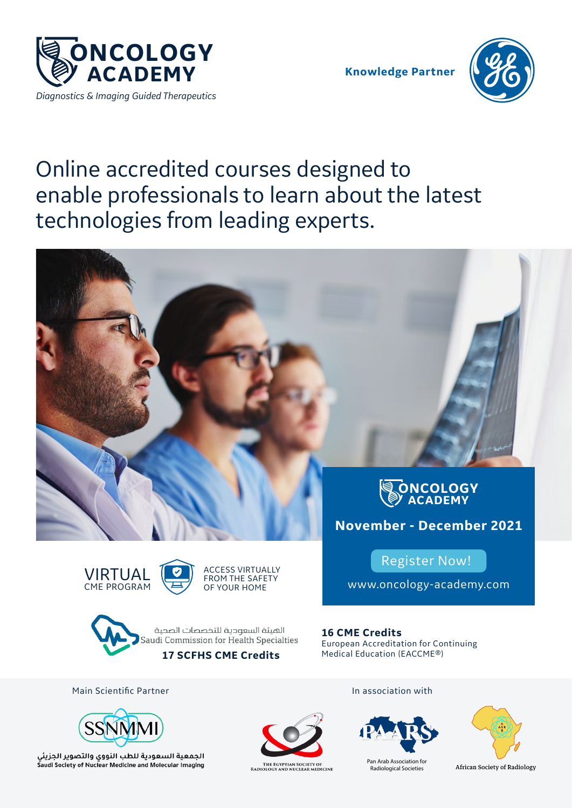

**Knowledge Partner**



# Online accredited courses designed to enable professionals to learn about the latest technologies from leading experts.







Register Now!

www.oncology-academy.com

**16 CME Credits** European Accreditation for Continuing Medical Education (EACCME®)

Main Scientific Partner



الجمعية السعودية للطب النووى والتصوير الجزيئي Saudi Society of Nuclear Medicine and Molecular Imaging



THE EGYPTIAN SOCIETY OF<br>RADIOLOGY AND NUCLEAR MEDICINE

In association with



Pan Arab Association for Radiological Societies



African Society of Radiology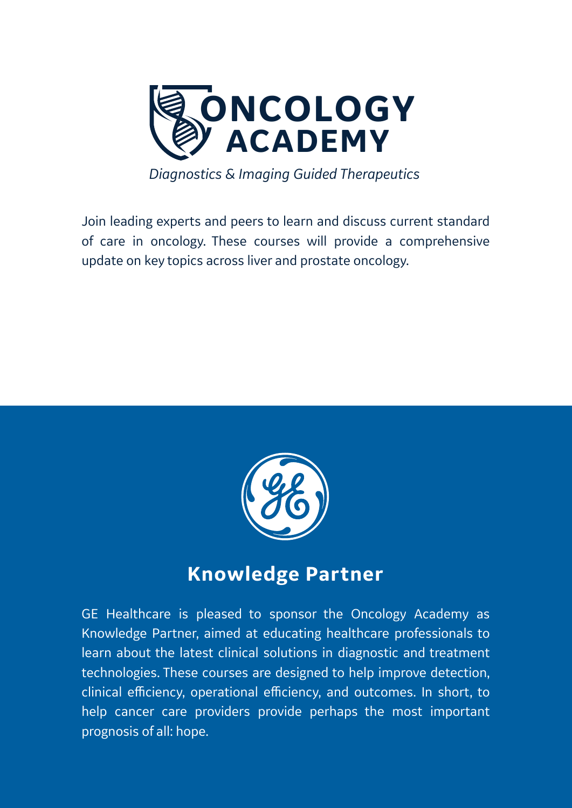

*Diagnostics & Imaging Guided Therapeutics*

Join leading experts and peers to learn and discuss current standard of care in oncology. These courses will provide a comprehensive update on key topics across liver and prostate oncology.



### **Knowledge Partner**

GE Healthcare is pleased to sponsor the Oncology Academy as Knowledge Partner, aimed at educating healthcare professionals to learn about the latest clinical solutions in diagnostic and treatment technologies. These courses are designed to help improve detection, clinical efficiency, operational efficiency, and outcomes. In short, to help cancer care providers provide perhaps the most important prognosis of all: hope.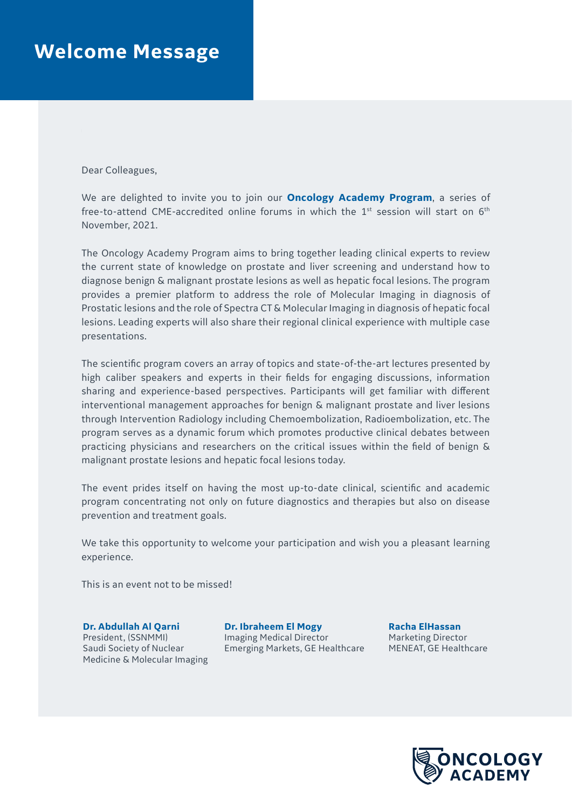### **Welcome Message**

Dear Colleagues,

 $\mathbb{R}^2$ 

We are delighted to invite you to join our **Oncology Academy Program**, a series of free-to-attend CME-accredited online forums in which the  $1<sup>st</sup>$  session will start on  $6<sup>th</sup>$ November, 2021.

The Oncology Academy Program aims to bring together leading clinical experts to review the current state of knowledge on prostate and liver screening and understand how to diagnose benign & malignant prostate lesions as well as hepatic focal lesions. The program provides a premier platform to address the role of Molecular Imaging in diagnosis of Prostatic lesions and the role of Spectra CT & Molecular Imaging in diagnosis of hepatic focal lesions. Leading experts will also share their regional clinical experience with multiple case presentations.

The scientific program covers an array of topics and state-of-the-art lectures presented by high caliber speakers and experts in their fields for engaging discussions, information sharing and experience-based perspectives. Participants will get familiar with different interventional management approaches for benign & malignant prostate and liver lesions through Intervention Radiology including Chemoembolization, Radioembolization, etc. The program serves as a dynamic forum which promotes productive clinical debates between practicing physicians and researchers on the critical issues within the field of benign & malignant prostate lesions and hepatic focal lesions today.

The event prides itself on having the most up-to-date clinical, scientific and academic program concentrating not only on future diagnostics and therapies but also on disease prevention and treatment goals.

We take this opportunity to welcome your participation and wish you a pleasant learning experience.

This is an event not to be missed!

**Dr. Abdullah Al Qarni** President, (SSNMMI) Saudi Society of Nuclear Medicine & Molecular Imaging **Dr. Ibraheem El Mogy**  Imaging Medical Director Emerging Markets, GE Healthcare

**Racha ElHassan** Marketing Director MENEAT, GE Healthcare

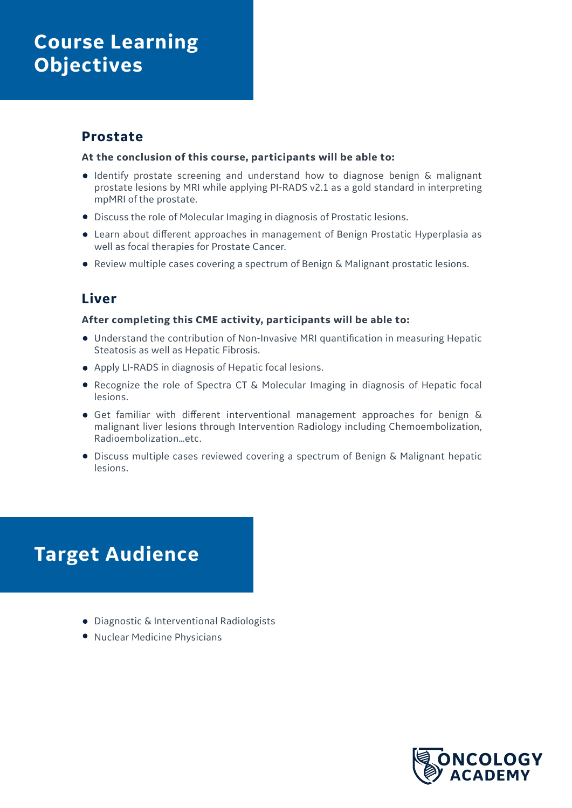### **Course Learning Objectives**

### **Prostate**

#### **At the conclusion of this course, participants will be able to:**

- Identify prostate screening and understand how to diagnose benign & malignant prostate lesions by MRI while applying PI-RADS v2.1 as a gold standard in interpreting mpMRI of the prostate.
- Discuss the role of Molecular Imaging in diagnosis of Prostatic lesions.
- Learn about different approaches in management of Benign Prostatic Hyperplasia as well as focal therapies for Prostate Cancer.
- Review multiple cases covering a spectrum of Benign & Malignant prostatic lesions.

### **Liver**

#### **After completing this CME activity, participants will be able to:**

- Understand the contribution of Non-Invasive MRI quantification in measuring Hepatic Steatosis as well as Hepatic Fibrosis.
- Apply LI-RADS in diagnosis of Hepatic focal lesions.
- Recognize the role of Spectra CT & Molecular Imaging in diagnosis of Hepatic focal lesions.
- Get familiar with different interventional management approaches for benign & malignant liver lesions through Intervention Radiology including Chemoembolization, Radioembolization…etc.
- Discuss multiple cases reviewed covering a spectrum of Benign & Malignant hepatic lesions.

## **Target Audience**

- Diagnostic & Interventional Radiologists
- Nuclear Medicine Physicians

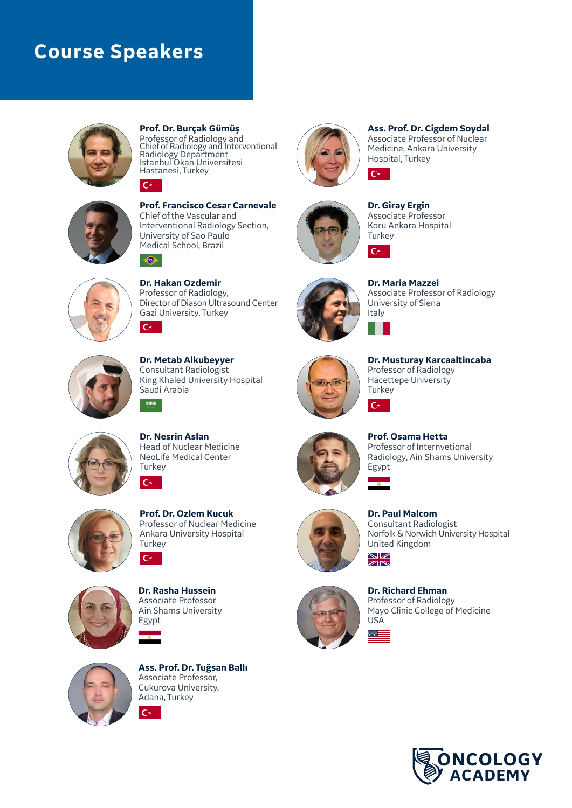### **Course Speakers**



**Prof. Dr. Burçak Gümüş** Professor of Radiology and Chief of Radiology and Interventional Radiology Department Istanbul Okan Universitesi Hastanesi, Turkey  $\mathbf{C}^*$ 



 $\bullet$ 

 $C^*$ 

**Prof. Francisco Cesar Carnevale** Chief of the Vascular and Interventional Radiology Section, University of Sao Paulo Medical School, Brazil



**Dr. Hakan Ozdemir** Professor of Radiology, Director of Diason Ultrasound Center Gazi University, Turkey  $C^*$ 



**Dr. Metab Alkubeyyer** Consultant Radiologist King Khaled University Hospital Saudi Arabia



**Ass. Prof. Dr. Cigdem Soydal**  Associate Professor of Nuclear Medicine, Ankara University Hospital, Turkey



**Dr. Giray Ergin** Associate Professor Koru Ankara Hospital **Turkey** 

 $C^*$ 

 $C^*$ 

 $\mathbf{C}^*$ 

 $\gg -$ 



**Dr. Maria Mazzei** Associate Professor of Radiology University of Siena Italy



**Dr. Musturay Karcaaltincaba** Professor of Radiology Hacettepe University **Turkey** 



**Dr. Nesrin Aslan** Head of Nuclear Medicine NeoLife Medical Center **Turkey** 



**Prof. Osama Hetta** Professor of Internvetional Radiology, Ain Shams University Egypt



**Prof. Dr. Ozlem Kucuk** Professor of Nuclear Medicine Ankara University Hospital **Turkey**  $C^*$ 



**Dr. Rasha Hussein**  Associate Professor Ain Shams University Egypt



**Ass. Prof. Dr. Tuğsan Ballı**  Associate Professor, Cukurova University, Adana, Turkey  $\mathsf{C}\star$ 



**Dr. Paul Malcom** Consultant Radiologist Norfolk & Norwich University Hospital United Kingdom $\frac{N}{N}$ 



**Dr. Richard Ehman** Professor of Radiology Mayo Clinic College of Medicine USA

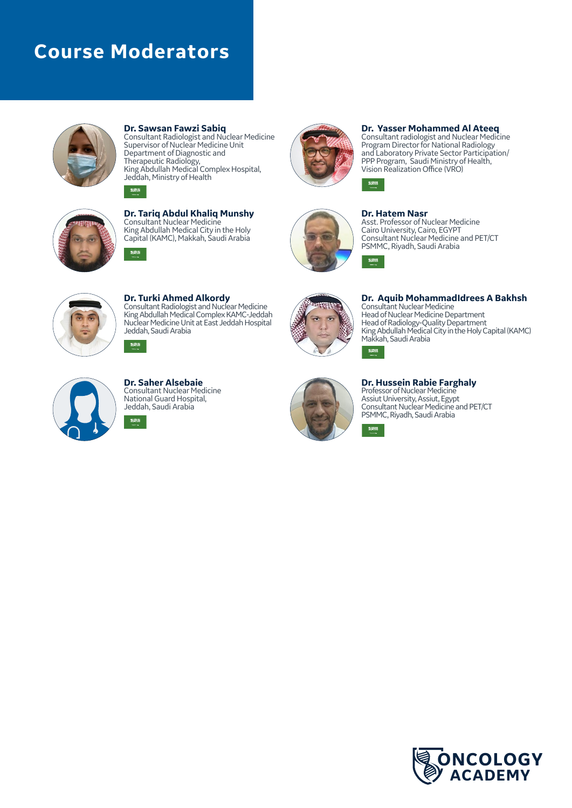### **Course Moderators**

9:300

NNN



**Dr. Sawsan Fawzi Sabiq** Consultant Radiologist and Nuclear Medicine Supervisor of Nuclear Medicine Unit Department of Diagnostic and Therapeutic Radiology, King Abdullah Medical Complex Hospital, Jeddah, Ministry of Health



**Dr. Tariq Abdul Khaliq Munshy** Consultant Nuclear Medicine King Abdullah Medical City in the Holy Capital (KAMC), Makkah, Saudi Arabia



#### **Dr. Yasser Mohammed Al Ateeq**

Consultant radiologist and Nuclear Medicine Program Director for National Radiology and Laboratory Private Sector Participation/ PPP Program, Saudi Ministry of Health, Vision Realization Office (VRO)



**Dr. Hatem Nasr** Asst. Professor of Nuclear Medicine

 $\begin{array}{c} \textbf{35333} \end{array}$ 

9:308

31200

Cairo University, Cairo, EGYPT Consultant Nuclear Medicine and PET/CT PSMMC, Riyadh, Saudi Arabia



**Dr. Turki Ahmed Alkordy** Consultant Radiologist and Nuclear Medicine King Abdullah Medical Complex KAMC-Jeddah Nuclear Medicine Unit at East Jeddah Hospital Jeddah, Saudi Arabia



**Dr. Aquib MohammadIdrees A Bakhsh** Consultant Nuclear Medicine Head of Nuclear Medicine Department Head of Radiology-Quality Department King Abdullah Medical City in the Holy Capital (KAMC) Makkah, Saudi Arabia NMA



**Dr. Saher Alsebaie** Consultant Nuclear Medicine National Guard Hospital, Jeddah, Saudi Arabia nan



**Dr. Hussein Rabie Farghaly** Professor of Nuclear Medicine Assiut University, Assiut, Egypt Consultant Nuclear Medicine and PET/CT PSMMC, Riyadh, Saudi Arabia